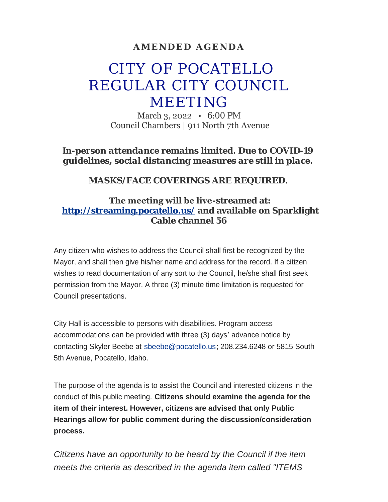## **AMENDED AGENDA**

# CITY OF POCATELLO REGULAR CITY COUNCIL MEETING

March 3, 2022 • 6:00 PM Council Chambers | 911 North 7th Avenue

*In-person attendance remains limited. Due to COVID-19 guidelines, social distancing measures are still in place.*

*MASKS/FACE COVERINGS ARE REQUIRED.*

#### **The meeting will be live-streamed at: <http://streaming.pocatello.us/> and available on Sparklight Cable channel 56**

Any citizen who wishes to address the Council shall first be recognized by the Mayor, and shall then give his/her name and address for the record. If a citizen wishes to read documentation of any sort to the Council, he/she shall first seek permission from the Mayor. A three (3) minute time limitation is requested for Council presentations.

City Hall is accessible to persons with disabilities. Program access accommodations can be provided with three (3) days' advance notice by contacting Skyler Beebe at [sbeebe@pocatello.us;](mailto:sbeebe@pocatello.us) 208.234.6248 or 5815 South 5th Avenue, Pocatello, Idaho.

The purpose of the agenda is to assist the Council and interested citizens in the conduct of this public meeting. **Citizens should examine the agenda for the item of their interest. However, citizens are advised that only Public Hearings allow for public comment during the discussion/consideration process.**

*Citizens have an opportunity to be heard by the Council if the item meets the criteria as described in the agenda item called "ITEMS*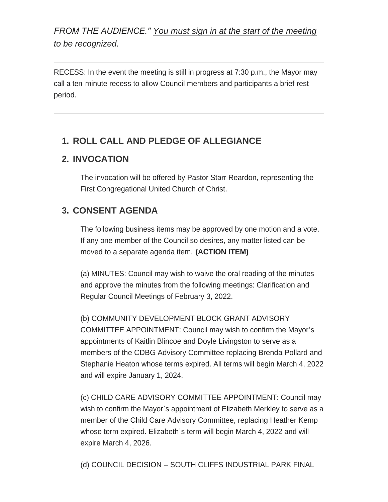# *FROM THE AUDIENCE." You must sign in at the start of the meeting to be recognized.*

RECESS: In the event the meeting is still in progress at 7:30 p.m., the Mayor may call a ten-minute recess to allow Council members and participants a brief rest period.

# **ROLL CALL AND PLEDGE OF ALLEGIANCE 1.**

## **INVOCATION 2.**

The invocation will be offered by Pastor Starr Reardon, representing the First Congregational United Church of Christ.

# **CONSENT AGENDA 3.**

The following business items may be approved by one motion and a vote. If any one member of the Council so desires, any matter listed can be moved to a separate agenda item. **(ACTION ITEM)**

(a) MINUTES: Council may wish to waive the oral reading of the minutes and approve the minutes from the following meetings: Clarification and Regular Council Meetings of February 3, 2022.

(b) COMMUNITY DEVELOPMENT BLOCK GRANT ADVISORY COMMITTEE APPOINTMENT: Council may wish to confirm the Mayor's appointments of Kaitlin Blincoe and Doyle Livingston to serve as a members of the CDBG Advisory Committee replacing Brenda Pollard and Stephanie Heaton whose terms expired. All terms will begin March 4, 2022 and will expire January 1, 2024.

(c) CHILD CARE ADVISORY COMMITTEE APPOINTMENT: Council may wish to confirm the Mayor's appointment of Elizabeth Merkley to serve as a member of the Child Care Advisory Committee, replacing Heather Kemp whose term expired. Elizabeth's term will begin March 4, 2022 and will expire March 4, 2026.

(d) COUNCIL DECISION – SOUTH CLIFFS INDUSTRIAL PARK FINAL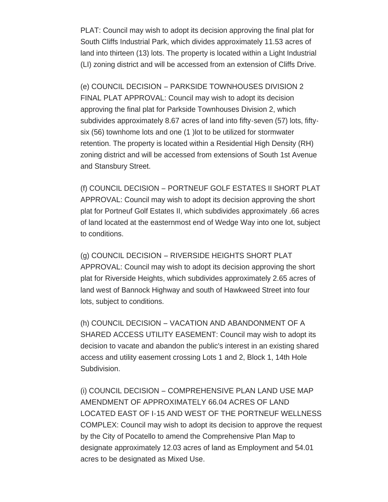PLAT: Council may wish to adopt its decision approving the final plat for South Cliffs Industrial Park, which divides approximately 11.53 acres of land into thirteen (13) lots. The property is located within a Light Industrial (LI) zoning district and will be accessed from an extension of Cliffs Drive.

(e) COUNCIL DECISION – PARKSIDE TOWNHOUSES DIVISION 2 FINAL PLAT APPROVAL: Council may wish to adopt its decision approving the final plat for Parkside Townhouses Division 2, which subdivides approximately 8.67 acres of land into fifty-seven (57) lots, fiftysix (56) townhome lots and one (1 )lot to be utilized for stormwater retention. The property is located within a Residential High Density (RH) zoning district and will be accessed from extensions of South 1st Avenue and Stansbury Street.

(f) COUNCIL DECISION – PORTNEUF GOLF ESTATES II SHORT PLAT APPROVAL: Council may wish to adopt its decision approving the short plat for Portneuf Golf Estates II, which subdivides approximately .66 acres of land located at the easternmost end of Wedge Way into one lot, subject to conditions.

(g) COUNCIL DECISION – RIVERSIDE HEIGHTS SHORT PLAT APPROVAL: Council may wish to adopt its decision approving the short plat for Riverside Heights, which subdivides approximately 2.65 acres of land west of Bannock Highway and south of Hawkweed Street into four lots, subject to conditions.

(h) COUNCIL DECISION – VACATION AND ABANDONMENT OF A SHARED ACCESS UTILITY EASEMENT: Council may wish to adopt its decision to vacate and abandon the public's interest in an existing shared access and utility easement crossing Lots 1 and 2, Block 1, 14th Hole Subdivision.

(i) COUNCIL DECISION – COMPREHENSIVE PLAN LAND USE MAP AMENDMENT OF APPROXIMATELY 66.04 ACRES OF LAND LOCATED EAST OF I-15 AND WEST OF THE PORTNEUF WELLNESS COMPLEX: Council may wish to adopt its decision to approve the request by the City of Pocatello to amend the Comprehensive Plan Map to designate approximately 12.03 acres of land as Employment and 54.01 acres to be designated as Mixed Use.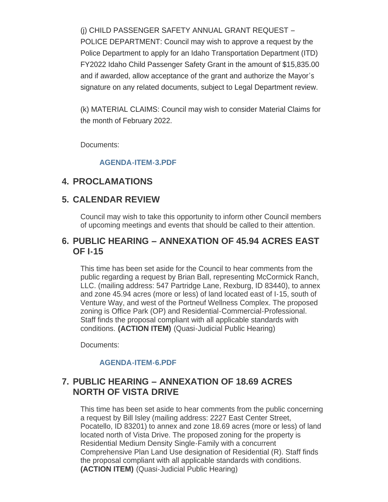(j) CHILD PASSENGER SAFETY ANNUAL GRANT REQUEST – POLICE DEPARTMENT: Council may wish to approve a request by the Police Department to apply for an Idaho Transportation Department (ITD) FY2022 Idaho Child Passenger Safety Grant in the amount of \$15,835.00 and if awarded, allow acceptance of the grant and authorize the Mayor's signature on any related documents, subject to Legal Department review.

(k) MATERIAL CLAIMS: Council may wish to consider Material Claims for the month of February 2022.

Documents:

#### **[AGENDA-ITEM-3.PDF](https://www.pocatello.us/AgendaCenter/ViewFile/Item/3243?fileID=10583)**

#### **PROCLAMATIONS 4.**

#### **CALENDAR REVIEW 5.**

Council may wish to take this opportunity to inform other Council members of upcoming meetings and events that should be called to their attention.

#### **PUBLIC HEARING – ANNEXATION OF 45.94 ACRES EAST 6. OF I-15**

This time has been set aside for the Council to hear comments from the public regarding a request by Brian Ball, representing McCormick Ranch, LLC. (mailing address: 547 Partridge Lane, Rexburg, ID 83440), to annex and zone 45.94 acres (more or less) of land located east of I-15, south of Venture Way, and west of the Portneuf Wellness Complex. The proposed zoning is Office Park (OP) and Residential-Commercial-Professional. Staff finds the proposal compliant with all applicable standards with conditions. **(ACTION ITEM)** (Quasi-Judicial Public Hearing)

Documents:

#### **[AGENDA-ITEM-6.PDF](https://www.pocatello.us/AgendaCenter/ViewFile/Item/3244?fileID=10584)**

## **PUBLIC HEARING – ANNEXATION OF 18.69 ACRES 7. NORTH OF VISTA DRIVE**

This time has been set aside to hear comments from the public concerning a request by Bill Isley (mailing address: 2227 East Center Street, Pocatello, ID 83201) to annex and zone 18.69 acres (more or less) of land located north of Vista Drive. The proposed zoning for the property is Residential Medium Density Single-Family with a concurrent Comprehensive Plan Land Use designation of Residential (R). Staff finds the proposal compliant with all applicable standards with conditions. **(ACTION ITEM)** (Quasi-Judicial Public Hearing)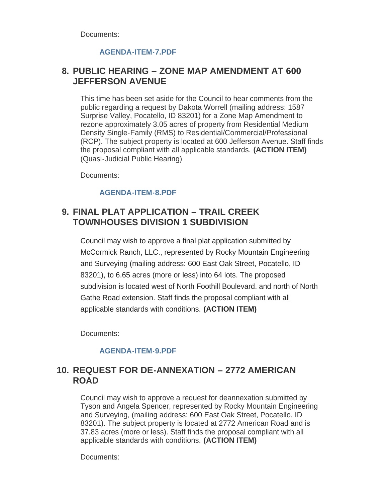Documents:

#### **[AGENDA-ITEM-7.PDF](https://www.pocatello.us/AgendaCenter/ViewFile/Item/3245?fileID=10585)**

## **PUBLIC HEARING – ZONE MAP AMENDMENT AT 600 8. JEFFERSON AVENUE**

This time has been set aside for the Council to hear comments from the public regarding a request by Dakota Worrell (mailing address: 1587 Surprise Valley, Pocatello, ID 83201) for a Zone Map Amendment to rezone approximately 3.05 acres of property from Residential Medium Density Single-Family (RMS) to Residential/Commercial/Professional (RCP). The subject property is located at 600 Jefferson Avenue. Staff finds the proposal compliant with all applicable standards. **(ACTION ITEM)** (Quasi-Judicial Public Hearing)

Documents:

#### **[AGENDA-ITEM-8.PDF](https://www.pocatello.us/AgendaCenter/ViewFile/Item/3246?fileID=10586)**

## **FINAL PLAT APPLICATION – TRAIL CREEK 9. TOWNHOUSES DIVISION 1 SUBDIVISION**

Council may wish to approve a final plat application submitted by McCormick Ranch, LLC., represented by Rocky Mountain Engineering and Surveying (mailing address: 600 East Oak Street, Pocatello, ID 83201), to 6.65 acres (more or less) into 64 lots. The proposed subdivision is located west of North Foothill Boulevard. and north of North Gathe Road extension. Staff finds the proposal compliant with all applicable standards with conditions. **(ACTION ITEM)**

Documents:

#### **[AGENDA-ITEM-9.PDF](https://www.pocatello.us/AgendaCenter/ViewFile/Item/3247?fileID=10587)**

## **REQUEST FOR DE-ANNEXATION – 2772 AMERICAN 10. ROAD**

Council may wish to approve a request for deannexation submitted by Tyson and Angela Spencer, represented by Rocky Mountain Engineering and Surveying, (mailing address: 600 East Oak Street, Pocatello, ID 83201). The subject property is located at 2772 American Road and is 37.83 acres (more or less). Staff finds the proposal compliant with all applicable standards with conditions. **(ACTION ITEM)**

Documents: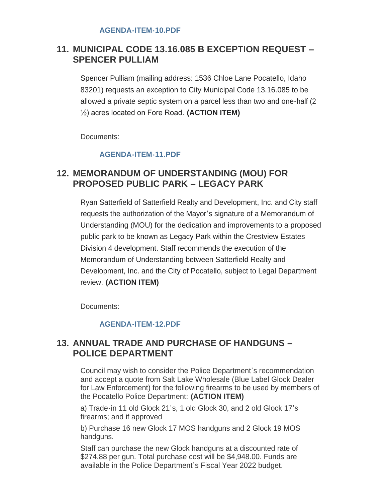## **MUNICIPAL CODE 13.16.085 B EXCEPTION REQUEST – 11. SPENCER PULLIAM**

Spencer Pulliam (mailing address: 1536 Chloe Lane Pocatello, Idaho 83201) requests an exception to City Municipal Code 13.16.085 to be allowed a private septic system on a parcel less than two and one-half (2 ½) acres located on Fore Road. **(ACTION ITEM)**

Documents:

#### **[AGENDA-ITEM-11.PDF](https://www.pocatello.us/AgendaCenter/ViewFile/Item/3249?fileID=10589)**

## **MEMORANDUM OF UNDERSTANDING (MOU) FOR 12. PROPOSED PUBLIC PARK – LEGACY PARK**

Ryan Satterfield of Satterfield Realty and Development, Inc. and City staff requests the authorization of the Mayor's signature of a Memorandum of Understanding (MOU) for the dedication and improvements to a proposed public park to be known as Legacy Park within the Crestview Estates Division 4 development. Staff recommends the execution of the Memorandum of Understanding between Satterfield Realty and Development, Inc. and the City of Pocatello, subject to Legal Department review. **(ACTION ITEM)**

Documents:

#### **[AGENDA-ITEM-12.PDF](https://www.pocatello.us/AgendaCenter/ViewFile/Item/3250?fileID=10590)**

## **ANNUAL TRADE AND PURCHASE OF HANDGUNS – 13. POLICE DEPARTMENT**

Council may wish to consider the Police Department's recommendation and accept a quote from Salt Lake Wholesale (Blue Label Glock Dealer for Law Enforcement) for the following firearms to be used by members of the Pocatello Police Department: **(ACTION ITEM)**

a) Trade-in 11 old Glock 21's, 1 old Glock 30, and 2 old Glock 17's firearms; and if approved

b) Purchase 16 new Glock 17 MOS handguns and 2 Glock 19 MOS handguns.

Staff can purchase the new Glock handguns at a discounted rate of \$274.88 per gun. Total purchase cost will be \$4,948.00. Funds are available in the Police Department's Fiscal Year 2022 budget.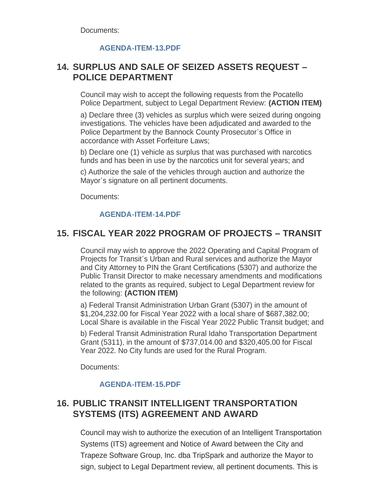Documents:

#### **[AGENDA-ITEM-13.PDF](https://www.pocatello.us/AgendaCenter/ViewFile/Item/3251?fileID=10591)**

## 14. SURPLUS AND SALE OF SEIZED ASSETS REQUEST – **POLICE DEPARTMENT**

Council may wish to accept the following requests from the Pocatello Police Department, subject to Legal Department Review: **(ACTION ITEM)**

a) Declare three (3) vehicles as surplus which were seized during ongoing investigations. The vehicles have been adjudicated and awarded to the Police Department by the Bannock County Prosecutor's Office in accordance with Asset Forfeiture Laws;

b) Declare one (1) vehicle as surplus that was purchased with narcotics funds and has been in use by the narcotics unit for several years; and

c) Authorize the sale of the vehicles through auction and authorize the Mayor's signature on all pertinent documents.

Documents:

#### **[AGENDA-ITEM-14.PDF](https://www.pocatello.us/AgendaCenter/ViewFile/Item/3252?fileID=10592)**

## **FISCAL YEAR 2022 PROGRAM OF PROJECTS – TRANSIT 15.**

Council may wish to approve the 2022 Operating and Capital Program of Projects for Transit's Urban and Rural services and authorize the Mayor and City Attorney to PIN the Grant Certifications (5307) and authorize the Public Transit Director to make necessary amendments and modifications related to the grants as required, subject to Legal Department review for the following: **(ACTION ITEM)**

a) Federal Transit Administration Urban Grant (5307) in the amount of \$1,204,232.00 for Fiscal Year 2022 with a local share of \$687,382.00; Local Share is available in the Fiscal Year 2022 Public Transit budget; and

b) Federal Transit Administration Rural Idaho Transportation Department Grant (5311), in the amount of \$737,014.00 and \$320,405.00 for Fiscal Year 2022. No City funds are used for the Rural Program.

Documents:

#### **[AGENDA-ITEM-15.PDF](https://www.pocatello.us/AgendaCenter/ViewFile/Item/3253?fileID=10593)**

## **PUBLIC TRANSIT INTELLIGENT TRANSPORTATION 16. SYSTEMS (ITS) AGREEMENT AND AWARD**

Council may wish to authorize the execution of an Intelligent Transportation Systems (ITS) agreement and Notice of Award between the City and Trapeze Software Group, Inc. dba TripSpark and authorize the Mayor to sign, subject to Legal Department review, all pertinent documents. This is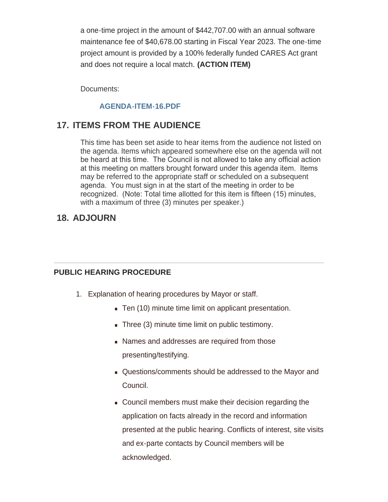a one-time project in the amount of \$442,707.00 with an annual software maintenance fee of \$40,678.00 starting in Fiscal Year 2023. The one-time project amount is provided by a 100% federally funded CARES Act grant and does not require a local match. **(ACTION ITEM)**

Documents:

#### **[AGENDA-ITEM-16.PDF](https://www.pocatello.us/AgendaCenter/ViewFile/Item/3254?fileID=10594)**

## **17. ITEMS FROM THE AUDIENCE**

This time has been set aside to hear items from the audience not listed on the agenda. Items which appeared somewhere else on the agenda will not be heard at this time. The Council is not allowed to take any official action at this meeting on matters brought forward under this agenda item. Items may be referred to the appropriate staff or scheduled on a subsequent agenda. You must sign in at the start of the meeting in order to be recognized. (Note: Total time allotted for this item is fifteen (15) minutes, with a maximum of three (3) minutes per speaker.)

## **ADJOURN 18.**

#### **PUBLIC HEARING PROCEDURE**

- 1. Explanation of hearing procedures by Mayor or staff.
	- Ten (10) minute time limit on applicant presentation.
	- $\blacksquare$  Three (3) minute time limit on public testimony.
	- **Names and addresses are required from those** presenting/testifying.
	- Questions/comments should be addressed to the Mayor and Council.
	- Council members must make their decision regarding the application on facts already in the record and information presented at the public hearing. Conflicts of interest, site visits and ex-parte contacts by Council members will be acknowledged.